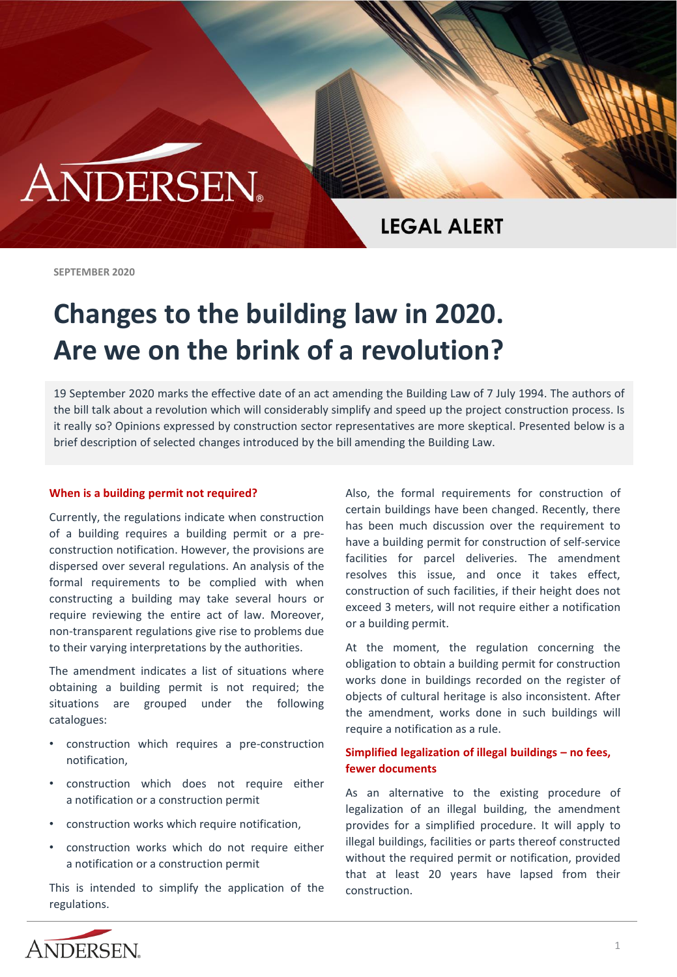# **ANDERSEN**

**LEGAL ALERT** 

**SEPTEMBER 2020**

# **Changes to the building law in 2020. Are we on the brink of a revolution?**

19 September 2020 marks the effective date of an act amending the Building Law of 7 July 1994. The authors of the bill talk about a revolution which will considerably simplify and speed up the project construction process. Is it really so? Opinions expressed by construction sector representatives are more skeptical. Presented below is a brief description of selected changes introduced by the bill amending the Building Law.

#### **When is a building permit not required?**

Currently, the regulations indicate when construction of a building requires a building permit or a preconstruction notification. However, the provisions are dispersed over several regulations. An analysis of the formal requirements to be complied with when constructing a building may take several hours or require reviewing the entire act of law. Moreover, non-transparent regulations give rise to problems due to their varying interpretations by the authorities.

The amendment indicates a list of situations where obtaining a building permit is not required; the situations are grouped under the following catalogues:

- construction which requires a pre-construction notification,
- construction which does not require either a notification or a construction permit
- construction works which require notification,
- construction works which do not require either a notification or a construction permit

This is intended to simplify the application of the regulations.

Also, the formal requirements for construction of certain buildings have been changed. Recently, there has been much discussion over the requirement to have a building permit for construction of self-service facilities for parcel deliveries. The amendment resolves this issue, and once it takes effect, construction of such facilities, if their height does not exceed 3 meters, will not require either a notification or a building permit.

At the moment, the regulation concerning the obligation to obtain a building permit for construction works done in buildings recorded on the register of objects of cultural heritage is also inconsistent. After the amendment, works done in such buildings will require a notification as a rule.

# **Simplified legalization of illegal buildings – no fees, fewer documents**

As an alternative to the existing procedure of legalization of an illegal building, the amendment provides for a simplified procedure. It will apply to illegal buildings, facilities or parts thereof constructed without the required permit or notification, provided that at least 20 years have lapsed from their construction.

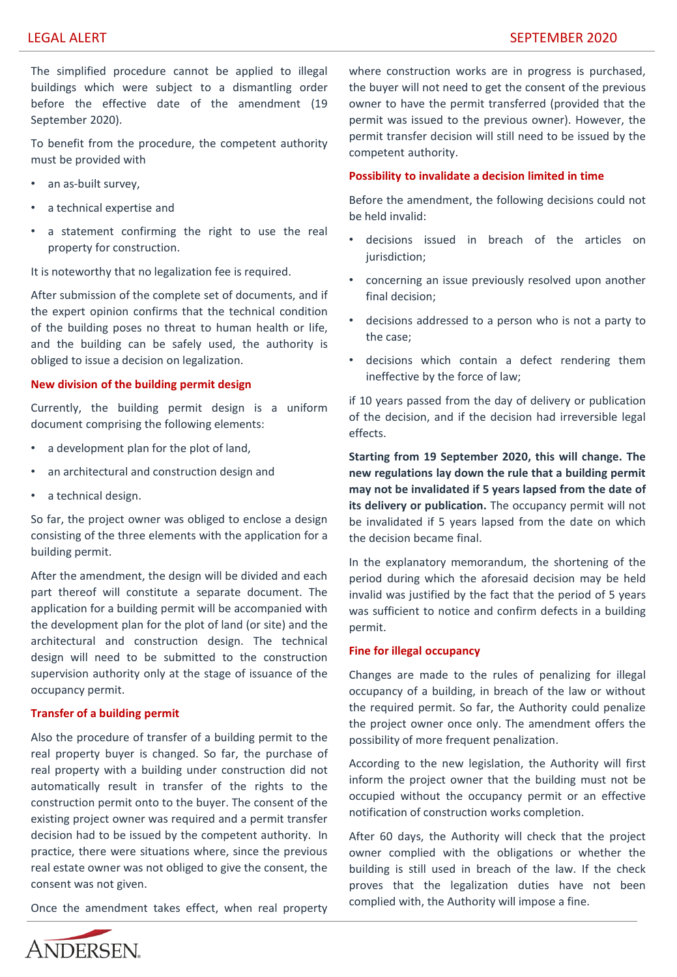The simplified procedure cannot be applied to illegal buildings which were subject to a dismantling order before the effective date of the amendment (19 September 2020).

To benefit from the procedure, the competent authority must be provided with

- an as-built survey,
- a technical expertise and
- a statement confirming the right to use the real property for construction.

It is noteworthy that no legalization fee is required.

After submission of the complete set of documents, and if the expert opinion confirms that the technical condition of the building poses no threat to human health or life, and the building can be safely used, the authority is obliged to issue a decision on legalization.

### **New division of the building permit design**

Currently, the building permit design is a uniform document comprising the following elements:

- a development plan for the plot of land,
- an architectural and construction design and
- a technical design.

So far, the project owner was obliged to enclose a design consisting of the three elements with the application for a building permit.

After the amendment, the design will be divided and each part thereof will constitute a separate document. The application for a building permit will be accompanied with the development plan for the plot of land (or site) and the architectural and construction design. The technical design will need to be submitted to the construction supervision authority only at the stage of issuance of the occupancy permit.

## **Transfer of a building permit**

Also the procedure of transfer of a building permit to the real property buyer is changed. So far, the purchase of real property with a building under construction did not automatically result in transfer of the rights to the construction permit onto to the buyer. The consent of the existing project owner was required and a permit transfer decision had to be issued by the competent authority. In practice, there were situations where, since the previous real estate owner was not obliged to give the consent, the consent was not given.

Once the amendment takes effect, when real property

where construction works are in progress is purchased, the buyer will not need to get the consent of the previous owner to have the permit transferred (provided that the permit was issued to the previous owner). However, the permit transfer decision will still need to be issued by the competent authority.

#### **Possibility to invalidate a decision limited in time**

Before the amendment, the following decisions could not be held invalid:

- decisions issued in breach of the articles on jurisdiction;
- concerning an issue previously resolved upon another final decision;
- decisions addressed to a person who is not a party to the case;
- decisions which contain a defect rendering them ineffective by the force of law;

if 10 years passed from the day of delivery or publication of the decision, and if the decision had irreversible legal effects.

**Starting from 19 September 2020, this will change. The new regulations lay down the rule that a building permit may not be invalidated if 5 years lapsed from the date of its delivery or publication.** The occupancy permit will not be invalidated if 5 years lapsed from the date on which the decision became final.

In the explanatory memorandum, the shortening of the period during which the aforesaid decision may be held invalid was justified by the fact that the period of 5 years was sufficient to notice and confirm defects in a building permit.

#### **Fine for illegal occupancy**

Changes are made to the rules of penalizing for illegal occupancy of a building, in breach of the law or without the required permit. So far, the Authority could penalize the project owner once only. The amendment offers the possibility of more frequent penalization.

According to the new legislation, the Authority will first inform the project owner that the building must not be occupied without the occupancy permit or an effective notification of construction works completion.

After 60 days, the Authority will check that the project owner complied with the obligations or whether the building is still used in breach of the law. If the check proves that the legalization duties have not been complied with, the Authority will impose a fine.